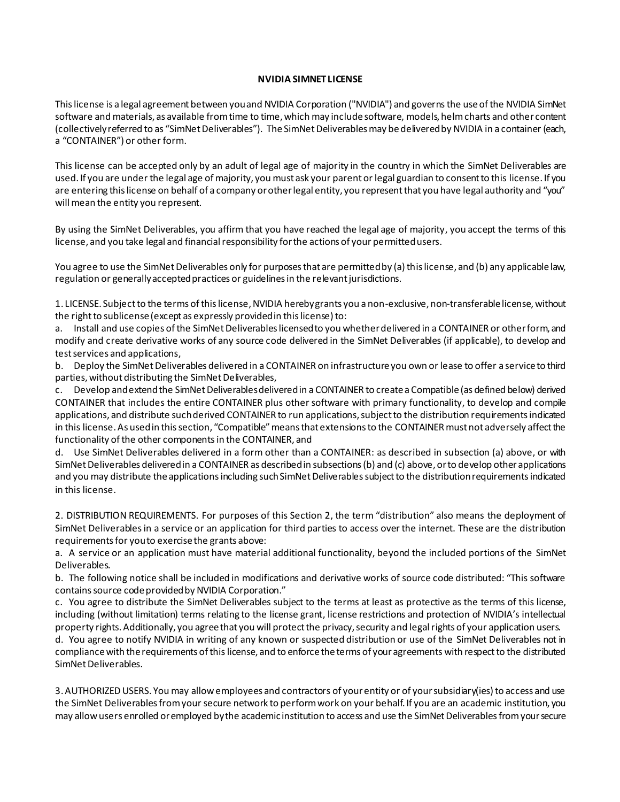## **NVIDIA SIMNET LICENSE**

Thislicense is a legal agreement between you and NVIDIA Corporation ("NVIDIA") and governsthe use of the NVIDIA SimNet software and materials, as available from time to time, which may include software, models, helm charts and other content (collectively referred to as "SimNet Deliverables"). The SimNet Deliverables may be delivered by NVIDIA in a container (each, a "CONTAINER") or other form.

This license can be accepted only by an adult of legal age of majority in the country in which the SimNet Deliverables are used. If you are under the legal age of majority, you must ask your parent or legal guardian to consent to this license. If you are entering this license on behalf of a company or other legal entity, you represent that you have legal authority and "you" will mean the entity you represent.

By using the SimNet Deliverables, you affirm that you have reached the legal age of majority, you accept the terms of this license, and you take legal and financial responsibility for the actions of your permitted users.

You agree to use the SimNet Deliverables only for purposes that are permitted by (a) this license, and (b) any applicable law, regulation or generally accepted practices or guidelines in the relevant jurisdictions.

1. LICENSE. Subject to the terms of this license, NVIDIA hereby grants you a non-exclusive, non-transferable license, without the right to sublicense (except as expressly provided in this license) to:

a. Install and use copies of the SimNet Deliverables licensed to you whether delivered in a CONTAINER or other form, and modify and create derivative works of any source code delivered in the SimNet Deliverables (if applicable), to develop and testservices and applications,

b. Deploy the SimNet Deliverables delivered in a CONTAINER on infrastructure you own or lease to offer a service to third parties, without distributing the SimNet Deliverables,

c. Develop and extend the SimNet Deliverables delivered in a CONTAINER to create a Compatible (as defined below) derived CONTAINER that includes the entire CONTAINER plus other software with primary functionality, to develop and compile applications, and distribute such derived CONTAINER to run applications, subject to the distribution requirements indicated in this license.As used in this section, "Compatible" means that extensions to the CONTAINER must not adversely affect the functionality of the other components in the CONTAINER, and

d. Use SimNet Deliverables delivered in a form other than a CONTAINER: as described in subsection (a) above, or with SimNet Deliverables delivered in a CONTAINER as described in subsections (b) and (c) above, or to develop other applications and you may distribute the applications including such SimNet Deliverables subject to the distribution requirements indicated in this license.

2. DISTRIBUTION REQUIREMENTS. For purposes of this Section 2, the term "distribution" also means the deployment of SimNet Deliverablesin a service or an application for third parties to access over the internet. These are the distribution requirements for you to exercise the grants above:

a. A service or an application must have material additional functionality, beyond the included portions of the SimNet Deliverables.

b. The following notice shall be included in modifications and derivative works of source code distributed: "This software contains source code provided by NVIDIA Corporation."

c. You agree to distribute the SimNet Deliverables subject to the terms at least as protective as the terms of this license, including (without limitation) terms relating to the license grant, license restrictions and protection of NVIDIA's intellectual property rights. Additionally, you agree that you will protect the privacy, security and legal rights of your application users.

d. You agree to notify NVIDIA in writing of any known or suspected distribution or use of the SimNet Deliverables not in compliance with the requirements of this license, and to enforce the terms of your agreements with respect to the distributed SimNet Deliverables.

3. AUTHORIZED USERS. You may allow employees and contractors of your entity or of your subsidiary(ies) to access and use the SimNet Deliverablesfrom your secure network to perform work on your behalf. If you are an academic institution, you may allow users enrolled or employed by the academic institution to access and use the SimNet Deliverables from your secure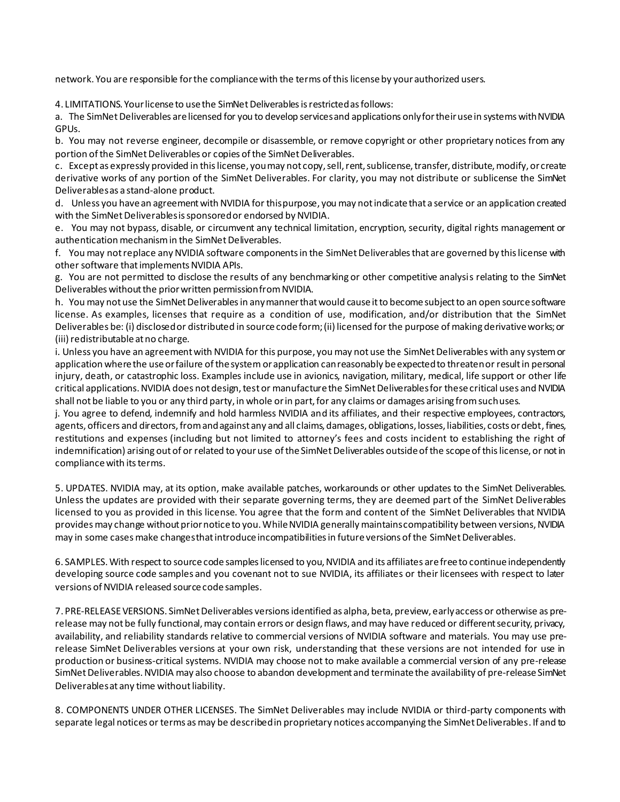network. You are responsible for the compliance with the terms of this licenseby your authorized users.

4. LIMITATIONS. Your license to use the SimNet Deliverables is restricted as follows:

a. The SimNet Deliverables are licensed for you to develop services and applications only for their use in systems with NVIDIA GPUs.

b. You may not reverse engineer, decompile or disassemble, or remove copyright or other proprietary notices from any portion of the SimNet Deliverables or copies of the SimNet Deliverables.

c. Except as expressly provided in this license, you may not copy, sell, rent, sublicense, transfer, distribute, modify, or create derivative works of any portion of the SimNet Deliverables. For clarity, you may not distribute or sublicense the SimNet Deliverablesas a stand-alone product.

d. Unless you have an agreement with NVIDIA for this purpose, you may not indicate that a service or an application created with the SimNet Deliverables is sponsored or endorsed by NVIDIA.

e. You may not bypass, disable, or circumvent any technical limitation, encryption, security, digital rights management or authentication mechanism in the SimNet Deliverables.

f. You may not replace any NVIDIA software components in the SimNet Deliverables that are governed by this license with other software that implements NVIDIA APIs.

g. You are not permitted to disclose the results of any benchmarking or other competitive analysis relating to the SimNet Deliverables without the prior written permission from NVIDIA.

h. You may not use the SimNet Deliverables in any manner that would cause it to become subject to an open source software license. As examples, licenses that require as a condition of use, modification, and/or distribution that the SimNet Deliverables be: (i) disclosed or distributed in source code form; (ii) licensed for the purpose of making derivative works; or (iii) redistributable at no charge.

i. Unless you have an agreement with NVIDIA for this purpose, you may not use the SimNet Deliverables with any system or application where the use or failure of the system or application can reasonably be expected to threaten or result in personal injury, death, or catastrophic loss. Examples include use in avionics, navigation, military, medical, life support or other life critical applications. NVIDIA does not design, test or manufacture the SimNet Deliverablesfor these critical uses and NVIDIA shall not be liable to you or any third party, in whole or in part, for any claims or damages arising from such uses.

j. You agree to defend, indemnify and hold harmless NVIDIA and its affiliates, and their respective employees, contractors, agents, officers and directors, from and against any and all claims, damages, obligations, losses, liabilities, costs or debt, fines, restitutions and expenses (including but not limited to attorney's fees and costs incident to establishing the right of indemnification) arising out of or related to your use of the SimNet Deliverables outside of the scope of this license, or not in compliance with its terms.

5. UPDATES. NVIDIA may, at its option, make available patches, workarounds or other updates to the SimNet Deliverables. Unless the updates are provided with their separate governing terms, they are deemed part of the SimNet Deliverables licensed to you as provided in this license. You agree that the form and content of the SimNet Deliverables that NVIDIA provides may change without prior notice to you. While NVIDIA generally maintains compatibility between versions, NVIDIA may in some cases make changes that introduce incompatibilities in future versions of the SimNet Deliverables.

6. SAMPLES. With respect to source code samples licensed to you, NVIDIA and its affiliates are free to continue independently developing source code samples and you covenant not to sue NVIDIA, its affiliates or their licensees with respect to later versions of NVIDIA released source code samples.

7. PRE-RELEASEVERSIONS. SimNetDeliverables versions identified as alpha, beta, preview, early access or otherwise as prerelease may not be fully functional, may contain errors or design flaws, and may have reduced or different security, privacy, availability, and reliability standards relative to commercial versions of NVIDIA software and materials. You may use prerelease SimNet Deliverables versions at your own risk, understanding that these versions are not intended for use in production or business-critical systems. NVIDIA may choose not to make available a commercial version of any pre-release SimNet Deliverables. NVIDIA may also choose to abandon development and terminate the availability of pre-release SimNet Deliverablesat any time without liability.

8. COMPONENTS UNDER OTHER LICENSES. The SimNet Deliverables may include NVIDIA or third-party components with separate legal notices or terms as may be described in proprietary notices accompanying the SimNet Deliverables. If and to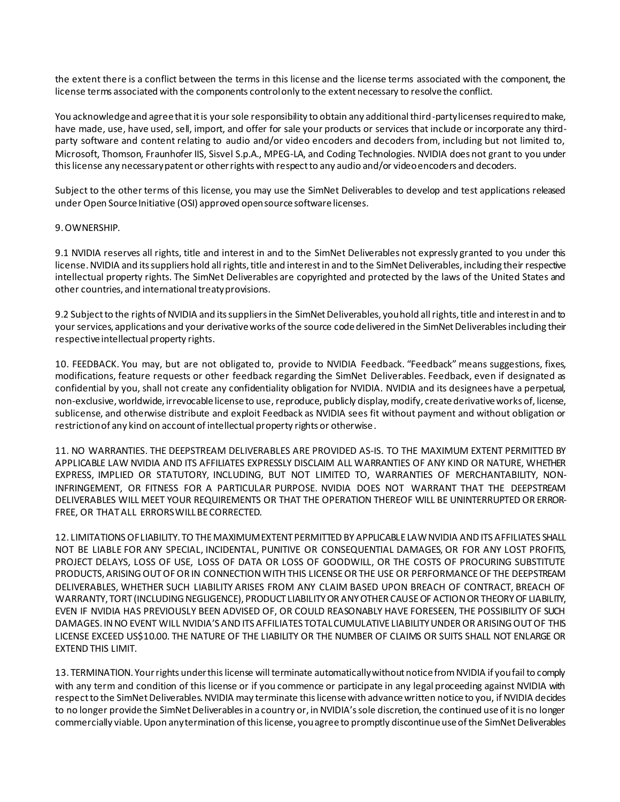the extent there is a conflict between the terms in this license and the license terms associated with the component, the license terms associated with the components control only to the extent necessary to resolve the conflict.

You acknowledge and agree that it is your sole responsibility to obtain any additional third-party licenses required to make, have made, use, have used, sell, import, and offer for sale your products or services that include or incorporate any thirdparty software and content relating to audio and/or video encoders and decoders from, including but not limited to, Microsoft, Thomson, Fraunhofer IIS, Sisvel S.p.A., MPEG-LA, and Coding Technologies. NVIDIA does not grant to you under this license any necessary patent or other rights with respect to any audio and/or video encoders and decoders.

Subject to the other terms of this license, you may use the SimNet Deliverables to develop and test applications released under Open Source Initiative (OSI) approved open source software licenses.

## 9. OWNERSHIP.

9.1 NVIDIA reserves all rights, title and interest in and to the SimNet Deliverables not expressly granted to you under this license. NVIDIA and its suppliers hold all rights, title and interest in and to the SimNet Deliverables, including their respective intellectual property rights. The SimNet Deliverables are copyrighted and protected by the laws of the United States and other countries, and international treaty provisions.

9.2 Subject to the rights of NVIDIA and its suppliers in the SimNet Deliverables, you hold all rights, title and interest in and to your services, applications and your derivative works of the source code delivered in the SimNet Deliverables including their respective intellectual property rights.

10. FEEDBACK. You may, but are not obligated to, provide to NVIDIA Feedback. "Feedback" means suggestions, fixes, modifications, feature requests or other feedback regarding the SimNet Deliverables. Feedback, even if designated as confidential by you, shall not create any confidentiality obligation for NVIDIA. NVIDIA and its designees have a perpetual, non-exclusive, worldwide, irrevocable license to use, reproduce, publicly display, modify, create derivative works of, license, sublicense, and otherwise distribute and exploit Feedback as NVIDIA sees fit without payment and without obligation or restriction of any kind on account of intellectual property rights or otherwise.

11. NO WARRANTIES. THE DEEPSTREAM DELIVERABLES ARE PROVIDED AS-IS. TO THE MAXIMUM EXTENT PERMITTED BY APPLICABLE LAW NVIDIA AND ITS AFFILIATES EXPRESSLY DISCLAIM ALL WARRANTIES OF ANY KIND OR NATURE, WHETHER EXPRESS, IMPLIED OR STATUTORY, INCLUDING, BUT NOT LIMITED TO, WARRANTIES OF MERCHANTABILITY, NON-INFRINGEMENT, OR FITNESS FOR A PARTICULAR PURPOSE. NVIDIA DOES NOT WARRANT THAT THE DEEPSTREAM DELIVERABLES WILL MEET YOUR REQUIREMENTS OR THAT THE OPERATION THEREOF WILL BE UNINTERRUPTEDOR ERROR-FREE, OR THATALL ERRORSWILLBECORRECTED.

12. LIMITATIONSOFLIABILITY. TO THE MAXIMUM EXTENT PERMITTED BY APPLICABLE LAW NVIDIA AND ITS AFFILIATES SHALL NOT BE LIABLE FOR ANY SPECIAL, INCIDENTAL, PUNITIVE OR CONSEQUENTIAL DAMAGES, OR FOR ANY LOST PROFITS, PROJECT DELAYS, LOSS OF USE, LOSS OF DATA OR LOSS OF GOODWILL, OR THE COSTS OF PROCURING SUBSTITUTE PRODUCTS, ARISING OUTOF OR IN CONNECTION WITH THIS LICENSE OR THE USE OR PERFORMANCE OF THE DEEPSTREAM DELIVERABLES, WHETHER SUCH LIABILITY ARISES FROM ANY CLAIM BASED UPON BREACH OF CONTRACT, BREACH OF WARRANTY, TORT (INCLUDING NEGLIGENCE), PRODUCT LIABILITY OR ANY OTHER CAUSE OF ACTION OR THEORY OF LIABILITY, EVEN IF NVIDIA HAS PREVIOUSLY BEEN ADVISED OF, OR COULD REASONABLY HAVE FORESEEN, THE POSSIBILITY OF SUCH DAMAGES. IN NO EVENT WILL NVIDIA'S AND ITS AFFILIATES TOTAL CUMULATIVE LIABILITY UNDER OR ARISING OUT OF THIS LICENSE EXCEED US\$10.00. THE NATURE OF THE LIABILITY OR THE NUMBER OF CLAIMS OR SUITS SHALL NOT ENLARGE OR EXTEND THIS LIMIT.

13. TERMINATION. Your rights under this license will terminate automatically without notice from NVIDIA if you fail to comply with any term and condition of this license or if you commence or participate in any legal proceeding against NVIDIA with respect to the SimNet Deliverables. NVIDIA may terminate this license with advance written notice to you, if NVIDIA decides to no longer provide the SimNet Deliverables in a country or, in NVIDIA's sole discretion, the continued use of it is no longer commercially viable. Upon any termination of this license, you agree to promptly discontinue use of the SimNet Deliverables